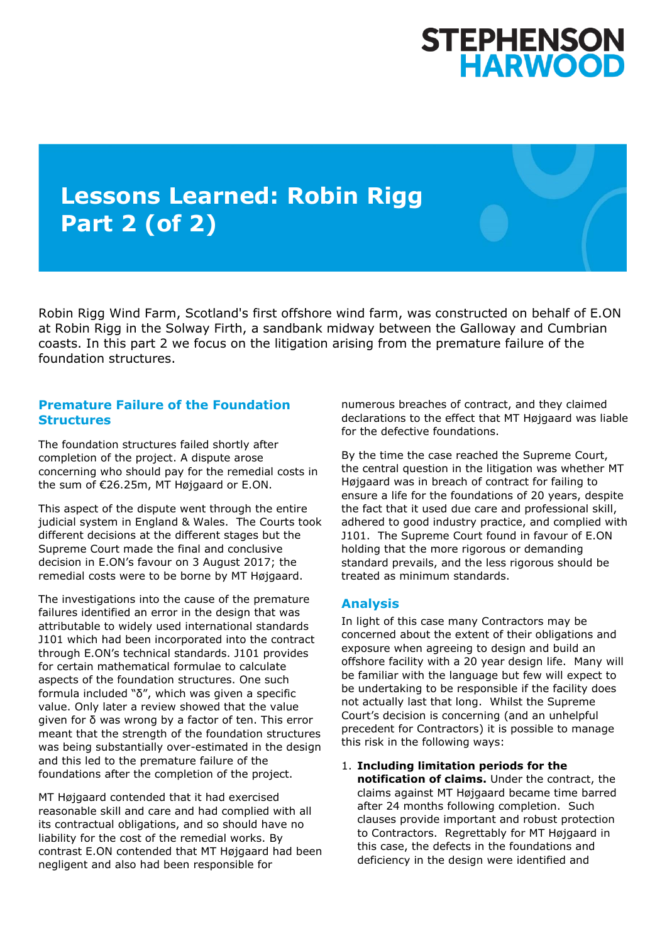# STEPHENSON<br>HARWOOD

## **Lessons Learned: Robin Rigg Part 2 (of 2)**

Robin Rigg Wind Farm, Scotland's first offshore wind farm, was constructed on behalf of E.ON at Robin Rigg in the Solway Firth, a sandbank midway between the Galloway and Cumbrian coasts. In this part 2 we focus on the litigation arising from the premature failure of the foundation structures.

#### **Premature Failure of the Foundation Structures**

The foundation structures failed shortly after completion of the project. A dispute arose concerning who should pay for the remedial costs in the sum of €26.25m, MT Højgaard or E.ON.

This aspect of the dispute went through the entire judicial system in England & Wales. The Courts took different decisions at the different stages but the Supreme Court made the final and conclusive decision in E.ON's favour on 3 August 2017; the remedial costs were to be borne by MT Højgaard.

The investigations into the cause of the premature failures identified an error in the design that was attributable to widely used international standards J101 which had been incorporated into the contract through E.ON's technical standards. J101 provides for certain mathematical formulae to calculate aspects of the foundation structures. One such formula included "δ", which was given a specific value. Only later a review showed that the value given for δ was wrong by a factor of ten. This error meant that the strength of the foundation structures was being substantially over-estimated in the design and this led to the premature failure of the foundations after the completion of the project.

MT Højgaard contended that it had exercised reasonable skill and care and had complied with all its contractual obligations, and so should have no liability for the cost of the remedial works. By contrast E.ON contended that MT Højgaard had been negligent and also had been responsible for

numerous breaches of contract, and they claimed declarations to the effect that MT Højgaard was liable for the defective foundations.

By the time the case reached the Supreme Court, the central question in the litigation was whether MT Højgaard was in breach of contract for failing to ensure a life for the foundations of 20 years, despite the fact that it used due care and professional skill, adhered to good industry practice, and complied with J101. The Supreme Court found in favour of E.ON holding that the more rigorous or demanding standard prevails, and the less rigorous should be treated as minimum standards.

### **Analysis**

In light of this case many Contractors may be concerned about the extent of their obligations and exposure when agreeing to design and build an offshore facility with a 20 year design life. Many will be familiar with the language but few will expect to be undertaking to be responsible if the facility does not actually last that long. Whilst the Supreme Court's decision is concerning (and an unhelpful precedent for Contractors) it is possible to manage this risk in the following ways:

1. **Including limitation periods for the notification of claims.** Under the contract, the claims against MT Højgaard became time barred after 24 months following completion. Such clauses provide important and robust protection to Contractors. Regrettably for MT Højgaard in this case, the defects in the foundations and deficiency in the design were identified and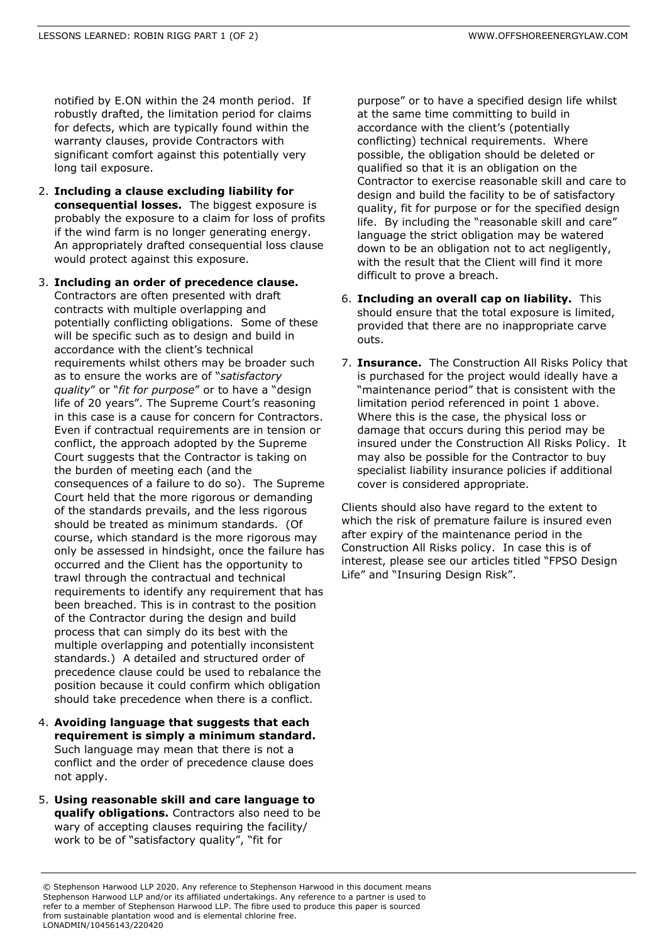notified by E.ON within the 24 month period. If robustly drafted, the limitation period for claims for defects, which are typically found within the warranty clauses, provide Contractors with significant comfort against this potentially very long tail exposure.

- 2. **Including a clause excluding liability for consequential losses.** The biggest exposure is probably the exposure to a claim for loss of profits if the wind farm is no longer generating energy. An appropriately drafted consequential loss clause would protect against this exposure.
- 3. **Including an order of precedence clause.** Contractors are often presented with draft contracts with multiple overlapping and potentially conflicting obligations. Some of these will be specific such as to design and build in accordance with the client's technical requirements whilst others may be broader such as to ensure the works are of "*satisfactory quality*" or "*fit for purpose*" or to have a "design life of 20 years". The Supreme Court's reasoning in this case is a cause for concern for Contractors. Even if contractual requirements are in tension or conflict, the approach adopted by the Supreme Court suggests that the Contractor is taking on the burden of meeting each (and the consequences of a failure to do so). The Supreme Court held that the more rigorous or demanding of the standards prevails, and the less rigorous should be treated as minimum standards. (Of course, which standard is the more rigorous may only be assessed in hindsight, once the failure has occurred and the Client has the opportunity to trawl through the contractual and technical requirements to identify any requirement that has been breached. This is in contrast to the position of the Contractor during the design and build process that can simply do its best with the multiple overlapping and potentially inconsistent standards.) A detailed and structured order of precedence clause could be used to rebalance the position because it could confirm which obligation should take precedence when there is a conflict.
- 4. **Avoiding language that suggests that each requirement is simply a minimum standard.** Such language may mean that there is not a conflict and the order of precedence clause does not apply.
- 5. **Using reasonable skill and care language to qualify obligations.** Contractors also need to be wary of accepting clauses requiring the facility/ work to be of "satisfactory quality", "fit for

purpose" or to have a specified design life whilst at the same time committing to build in accordance with the client's (potentially conflicting) technical requirements. Where possible, the obligation should be deleted or qualified so that it is an obligation on the Contractor to exercise reasonable skill and care to design and build the facility to be of satisfactory quality, fit for purpose or for the specified design life. By including the "reasonable skill and care" language the strict obligation may be watered down to be an obligation not to act negligently, with the result that the Client will find it more difficult to prove a breach.

- 6. **Including an overall cap on liability.** This should ensure that the total exposure is limited, provided that there are no inappropriate carve outs.
- 7. **Insurance.** The Construction All Risks Policy that is purchased for the project would ideally have a "maintenance period" that is consistent with the limitation period referenced in point 1 above. Where this is the case, the physical loss or damage that occurs during this period may be insured under the Construction All Risks Policy. It may also be possible for the Contractor to buy specialist liability insurance policies if additional cover is considered appropriate.

Clients should also have regard to the extent to which the risk of premature failure is insured even after expiry of the maintenance period in the Construction All Risks policy. In case this is of interest, please see our articles titled "FPSO Design Life" and "Insuring Design Risk".

<sup>©</sup> Stephenson Harwood LLP 2020. Any reference to Stephenson Harwood in this document means Stephenson Harwood LLP and/or its affiliated undertakings. Any reference to a partner is used to refer to a member of Stephenson Harwood LLP. The fibre used to produce this paper is sourced from sustainable plantation wood and is elemental chlorine free. LONADMIN/10456143/220420